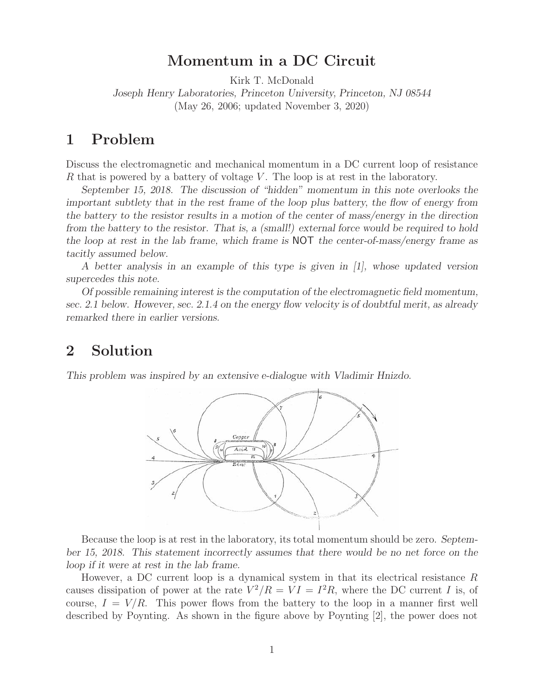# **Momentum in a DC Circuit**

Kirk T. McDonald

*Joseph Henry Laboratories, Princeton University, Princeton, NJ 08544* (May 26, 2006; updated November 3, 2020)

## **1 Problem**

Discuss the electromagnetic and mechanical momentum in a DC current loop of resistance  $R$  that is powered by a battery of voltage  $V$ . The loop is at rest in the laboratory.

*September 15, 2018. The discussion of "hidden" momentum in this note overlooks the important subtlety that in the rest frame of the loop plus battery, the flow of energy from the battery to the resistor results in a motion of the center of mass/energy in the direction from the battery to the resistor. That is, a (small!) external force would be required to hold the loop at rest in the lab frame, which frame is* NOT *the center-of-mass/energy frame as tacitly assumed below.*

*A better analysis in an example of this type is given in [1], whose updated version supercedes this note.*

*Of possible remaining interest is the computation of the electromagnetic field momentum, sec. 2.1 below. However, sec. 2.1.4 on the energy flow velocity is of doubtful merit, as already remarked there in earlier versions.*

## **2 Solution**

*This problem was inspired by an extensive e-dialogue with Vladimir Hnizdo.*



Because the loop is at rest in the laboratory, its total momentum should be zero. *September 15, 2018. This statement incorrectly assumes that there would be no net force on the loop if it were at rest in the lab frame.*

However, a DC current loop is a dynamical system in that its electrical resistance  $R$ causes dissipation of power at the rate  $V^2/R = VI = I^2R$ , where the DC current I is, of course,  $I = V/R$ . This power flows from the battery to the loop in a manner first well described by Poynting. As shown in the figure above by Poynting [2], the power does not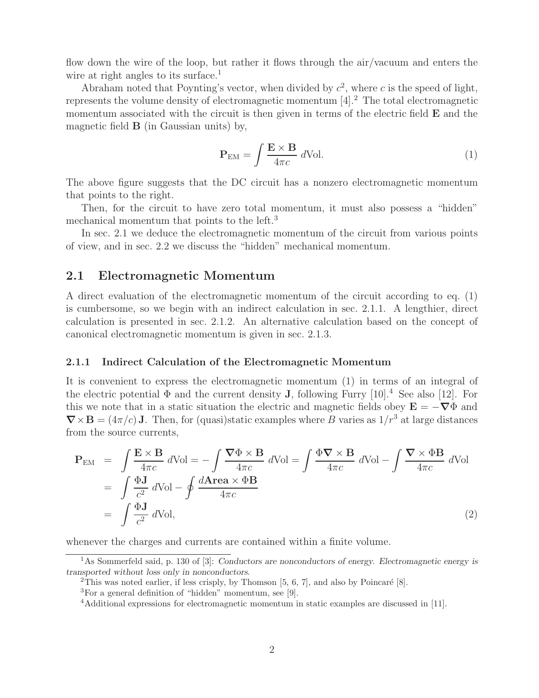flow down the wire of the loop, but rather it flows through the air/vacuum and enters the wire at right angles to its surface.<sup>1</sup>

Abraham noted that Poynting's vector, when divided by  $c^2$ , where c is the speed of light, represents the volume density of electromagnetic momentum  $[4].<sup>2</sup>$  The total electromagnetic momentum associated with the circuit is then given in terms of the electric field **E** and the magnetic field **B** (in Gaussian units) by,

$$
\mathbf{P}_{\rm EM} = \int \frac{\mathbf{E} \times \mathbf{B}}{4\pi c} \, d\text{Vol.} \tag{1}
$$

The above figure suggests that the DC circuit has a nonzero electromagnetic momentum that points to the right.

Then, for the circuit to have zero total momentum, it must also possess a "hidden" mechanical momentum that points to the left.<sup>3</sup>

In sec. 2.1 we deduce the electromagnetic momentum of the circuit from various points of view, and in sec. 2.2 we discuss the "hidden" mechanical momentum.

### **2.1 Electromagnetic Momentum**

A direct evaluation of the electromagnetic momentum of the circuit according to eq. (1) is cumbersome, so we begin with an indirect calculation in sec. 2.1.1. A lengthier, direct calculation is presented in sec. 2.1.2. An alternative calculation based on the concept of canonical electromagnetic momentum is given in sec. 2.1.3.

#### **2.1.1 Indirect Calculation of the Electromagnetic Momentum**

It is convenient to express the electromagnetic momentum (1) in terms of an integral of the electric potential  $\Phi$  and the current density **J**, following Furry [10].<sup>4</sup> See also [12]. For this we note that in a static situation the electric and magnetic fields obey  $\mathbf{E} = -\nabla \Phi$  and  $\nabla \times \mathbf{B} = (4\pi/c)\mathbf{J}$ . Then, for (quasi)static examples where B varies as  $1/r^3$  at large distances from the source currents,

$$
\mathbf{P}_{\text{EM}} = \int \frac{\mathbf{E} \times \mathbf{B}}{4\pi c} d\text{Vol} = -\int \frac{\nabla \Phi \times \mathbf{B}}{4\pi c} d\text{Vol} = \int \frac{\Phi \nabla \times \mathbf{B}}{4\pi c} d\text{Vol} - \int \frac{\nabla \times \Phi \mathbf{B}}{4\pi c} d\text{Vol}
$$
  
= 
$$
\int \frac{\Phi \mathbf{J}}{c^2} d\text{Vol} - \oint \frac{d\text{Area} \times \Phi \mathbf{B}}{4\pi c}
$$
  
= 
$$
\int \frac{\Phi \mathbf{J}}{c^2} d\text{Vol},
$$
 (2)

whenever the charges and currents are contained within a finite volume.

<sup>1</sup>As Sommerfeld said, p. 130 of [3]: *Conductors are nonconductors of energy. Electromagnetic energy is transported without loss only in nonconductors*.

<sup>&</sup>lt;sup>2</sup>This was noted earlier, if less crisply, by Thomson  $[5, 6, 7]$ , and also by Poincaré  $[8]$ .

<sup>3</sup>For a general definition of "hidden" momentum, see [9].

<sup>4</sup>Additional expressions for electromagnetic momentum in static examples are discussed in [11].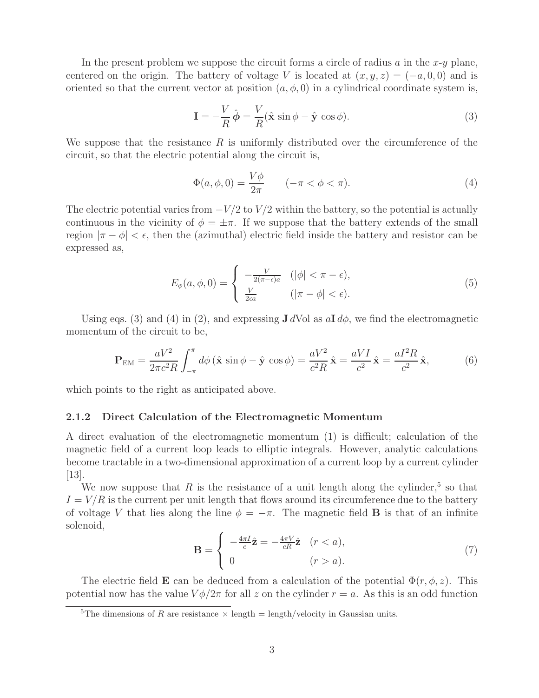In the present problem we suppose the circuit forms a circle of radius  $a$  in the  $x-y$  plane, centered on the origin. The battery of voltage V is located at  $(x, y, z)=(-a, 0, 0)$  and is oriented so that the current vector at position  $(a, \phi, 0)$  in a cylindrical coordinate system is,

$$
\mathbf{I} = -\frac{V}{R}\hat{\boldsymbol{\phi}} = \frac{V}{R}(\hat{\mathbf{x}}\sin\phi - \hat{\mathbf{y}}\cos\phi). \tag{3}
$$

We suppose that the resistance  $R$  is uniformly distributed over the circumference of the circuit, so that the electric potential along the circuit is,

$$
\Phi(a,\phi,0) = \frac{V\phi}{2\pi} \qquad (-\pi < \phi < \pi). \tag{4}
$$

The electric potential varies from  $-V/2$  to  $V/2$  within the battery, so the potential is actually continuous in the vicinity of  $\phi = \pm \pi$ . If we suppose that the battery extends of the small region  $|\pi - \phi| < \epsilon$ , then the (azimuthal) electric field inside the battery and resistor can be expressed as,

$$
E_{\phi}(a,\phi,0) = \begin{cases} -\frac{V}{2(\pi-\epsilon)a} & (|\phi| < \pi-\epsilon), \\ \frac{V}{2\epsilon a} & (|\pi-\phi| < \epsilon). \end{cases}
$$
(5)

Using eqs. (3) and (4) in (2), and expressing  $J dV$ ol as  $aI d\phi$ , we find the electromagnetic momentum of the circuit to be,

$$
\mathbf{P}_{\text{EM}} = \frac{aV^2}{2\pi c^2 R} \int_{-\pi}^{\pi} d\phi \left(\hat{\mathbf{x}} \sin \phi - \hat{\mathbf{y}} \cos \phi\right) = \frac{aV^2}{c^2 R} \hat{\mathbf{x}} = \frac{aVI}{c^2} \hat{\mathbf{x}} = \frac{aI^2 R}{c^2} \hat{\mathbf{x}},\tag{6}
$$

which points to the right as anticipated above.

#### **2.1.2 Direct Calculation of the Electromagnetic Momentum**

A direct evaluation of the electromagnetic momentum (1) is difficult; calculation of the magnetic field of a current loop leads to elliptic integrals. However, analytic calculations become tractable in a two-dimensional approximation of a current loop by a current cylinder [13].

We now suppose that R is the resistance of a unit length along the cylinder,<sup>5</sup> so that  $I = V/R$  is the current per unit length that flows around its circumference due to the battery of voltage V that lies along the line  $\phi = -\pi$ . The magnetic field **B** is that of an infinite solenoid,

$$
\mathbf{B} = \begin{cases} -\frac{4\pi I}{c}\hat{\mathbf{z}} = -\frac{4\pi V}{cR}\hat{\mathbf{z}} & (r < a), \\ 0 & (r > a). \end{cases}
$$
(7)

The electric field **E** can be deduced from a calculation of the potential  $\Phi(r, \phi, z)$ . This potential now has the value  $V\phi/2\pi$  for all z on the cylinder  $r = a$ . As this is an odd function

<sup>&</sup>lt;sup>5</sup>The dimensions of R are resistance  $\times$  length = length/velocity in Gaussian units.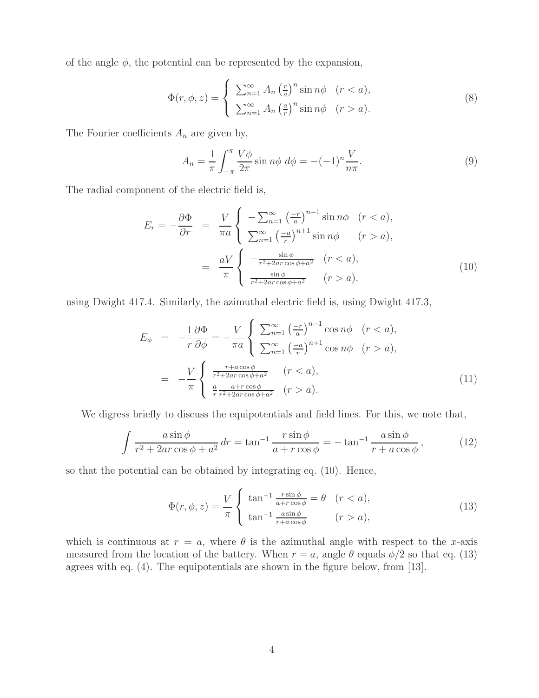of the angle  $\phi$ , the potential can be represented by the expansion,

$$
\Phi(r,\phi,z) = \begin{cases} \sum_{n=1}^{\infty} A_n \left(\frac{r}{a}\right)^n \sin n\phi & (r < a), \\ \sum_{n=1}^{\infty} A_n \left(\frac{a}{r}\right)^n \sin n\phi & (r > a). \end{cases}
$$
\n(8)

The Fourier coefficients  $A_n$  are given by,

$$
A_n = \frac{1}{\pi} \int_{-\pi}^{\pi} \frac{V\phi}{2\pi} \sin n\phi \, d\phi = -(-1)^n \frac{V}{n\pi}.
$$
 (9)

The radial component of the electric field is,

$$
E_r = -\frac{\partial \Phi}{\partial r} = \frac{V}{\pi a} \begin{cases} -\sum_{n=1}^{\infty} \left(\frac{-r}{a}\right)^{n-1} \sin n\phi & (r < a), \\ \sum_{n=1}^{\infty} \left(\frac{-a}{r}\right)^{n+1} \sin n\phi & (r > a), \end{cases}
$$
\n
$$
= \frac{aV}{\pi} \begin{cases} -\frac{\sin \phi}{r^2 + 2ar \cos \phi + a^2} & (r < a), \\ \frac{\sin \phi}{r^2 + 2ar \cos \phi + a^2} & (r > a). \end{cases} \tag{10}
$$

using Dwight 417.4. Similarly, the azimuthal electric field is, using Dwight 417.3,

$$
E_{\phi} = -\frac{1}{r} \frac{\partial \Phi}{\partial \phi} = -\frac{V}{\pi a} \begin{cases} \sum_{n=1}^{\infty} \left(\frac{-r}{a}\right)^{n-1} \cos n\phi & (r < a), \\ \sum_{n=1}^{\infty} \left(\frac{-a}{r}\right)^{n+1} \cos n\phi & (r > a), \end{cases}
$$

$$
= -\frac{V}{\pi} \begin{cases} \frac{r + a \cos \phi}{r^2 + 2ar \cos \phi + a^2} & (r < a), \\ \frac{a}{r} \frac{a + r \cos \phi}{r^2 + 2ar \cos \phi + a^2} & (r > a). \end{cases}
$$
(11)

We digress briefly to discuss the equipotentials and field lines. For this, we note that,

$$
\int \frac{a\sin\phi}{r^2 + 2ar\cos\phi + a^2} dr = \tan^{-1}\frac{r\sin\phi}{a + r\cos\phi} = -\tan^{-1}\frac{a\sin\phi}{r + a\cos\phi},
$$
(12)

so that the potential can be obtained by integrating eq. (10). Hence,

$$
\Phi(r,\phi,z) = \frac{V}{\pi} \begin{cases} \tan^{-1} \frac{r \sin \phi}{a + r \cos \phi} = \theta & (r < a), \\ \tan^{-1} \frac{a \sin \phi}{r + a \cos \phi} & (r > a), \end{cases}
$$
(13)

which is continuous at  $r = a$ , where  $\theta$  is the azimuthal angle with respect to the x-axis measured from the location of the battery. When  $r = a$ , angle  $\theta$  equals  $\phi/2$  so that eq. (13) agrees with eq. (4). The equipotentials are shown in the figure below, from [13].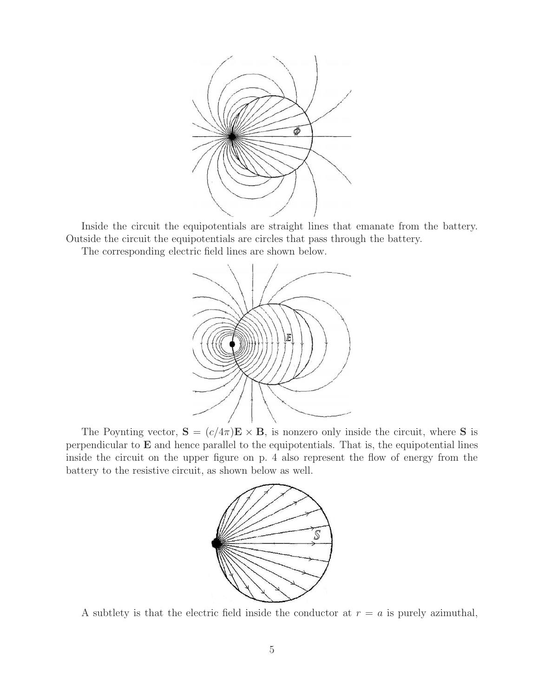

Inside the circuit the equipotentials are straight lines that emanate from the battery. Outside the circuit the equipotentials are circles that pass through the battery.

The corresponding electric field lines are shown below.



The Poynting vector,  $S = (c/4\pi)E \times B$ , is nonzero only inside the circuit, where S is perpendicular to **E** and hence parallel to the equipotentials. That is, the equipotential lines inside the circuit on the upper figure on p. 4 also represent the flow of energy from the battery to the resistive circuit, as shown below as well.



A subtlety is that the electric field inside the conductor at  $r = a$  is purely azimuthal,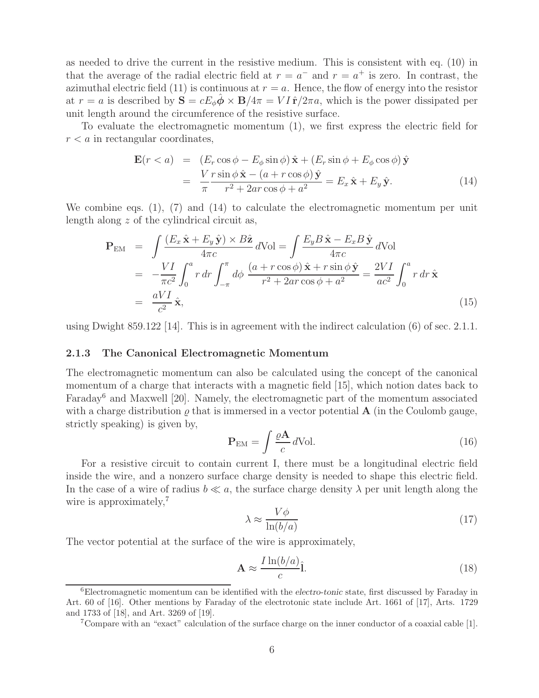as needed to drive the current in the resistive medium. This is consistent with eq. (10) in that the average of the radial electric field at  $r = a^{-}$  and  $r = a^{+}$  is zero. In contrast, the azimuthal electric field (11) is continuous at  $r = a$ . Hence, the flow of energy into the resistor at  $r = a$  is described by  $S = cE_{\phi} \phi \times B/4\pi = VI \hat{r}/2\pi a$ , which is the power dissipated per unit length around the circumference of the resistive surface.

To evaluate the electromagnetic momentum (1), we first express the electric field for  $r < a$  in rectangular coordinates,

$$
\mathbf{E}(r < a) = (E_r \cos \phi - E_\phi \sin \phi) \hat{\mathbf{x}} + (E_r \sin \phi + E_\phi \cos \phi) \hat{\mathbf{y}} \n= \frac{V r \sin \phi \hat{\mathbf{x}} - (a + r \cos \phi) \hat{\mathbf{y}}}{\pi r^2 + 2ar \cos \phi + a^2} = E_x \hat{\mathbf{x}} + E_y \hat{\mathbf{y}}.
$$
\n(14)

We combine eqs. (1), (7) and (14) to calculate the electromagnetic momentum per unit length along z of the cylindrical circuit as,

$$
\mathbf{P}_{\text{EM}} = \int \frac{(E_x \hat{\mathbf{x}} + E_y \hat{\mathbf{y}}) \times B\hat{\mathbf{z}}}{4\pi c} d\text{Vol} = \int \frac{E_y B \hat{\mathbf{x}} - E_x B \hat{\mathbf{y}}}{4\pi c} d\text{Vol} \n= -\frac{VI}{\pi c^2} \int_0^a r dr \int_{-\pi}^{\pi} d\phi \frac{(a + r \cos \phi) \hat{\mathbf{x}} + r \sin \phi \hat{\mathbf{y}}}{r^2 + 2ar \cos \phi + a^2} = \frac{2VI}{ac^2} \int_0^a r dr \hat{\mathbf{x}} \n= \frac{aVI}{c^2} \hat{\mathbf{x}},
$$
\n(15)

using Dwight 859.122 [14]. This is in agreement with the indirect calculation  $(6)$  of sec. 2.1.1.

#### **2.1.3 The Canonical Electromagnetic Momentum**

The electromagnetic momentum can also be calculated using the concept of the canonical momentum of a charge that interacts with a magnetic field [15], which notion dates back to Faraday<sup>6</sup> and Maxwell [20]. Namely, the electromagnetic part of the momentum associated with a charge distribution  $\rho$  that is immersed in a vector potential **A** (in the Coulomb gauge, strictly speaking) is given by,

$$
\mathbf{P}_{\rm EM} = \int \frac{\varrho \mathbf{A}}{c} d\text{Vol}.
$$
 (16)

For a resistive circuit to contain current I, there must be a longitudinal electric field inside the wire, and a nonzero surface charge density is needed to shape this electric field. In the case of a wire of radius  $b \ll a$ , the surface charge density  $\lambda$  per unit length along the wire is approximately,<sup>7</sup>

$$
\lambda \approx \frac{V\phi}{\ln(b/a)}\tag{17}
$$

The vector potential at the surface of the wire is approximately,

$$
\mathbf{A} \approx \frac{I \ln(b/a)}{c} \hat{\mathbf{l}}.\tag{18}
$$

<sup>6</sup>Electromagnetic momentum can be identified with the *electro-tonic* state, first discussed by Faraday in Art. 60 of [16]. Other mentions by Faraday of the electrotonic state include Art. 1661 of [17], Arts. 1729 and 1733 of [18], and Art. 3269 of [19].

<sup>7</sup>Compare with an "exact" calculation of the surface charge on the inner conductor of a coaxial cable [1].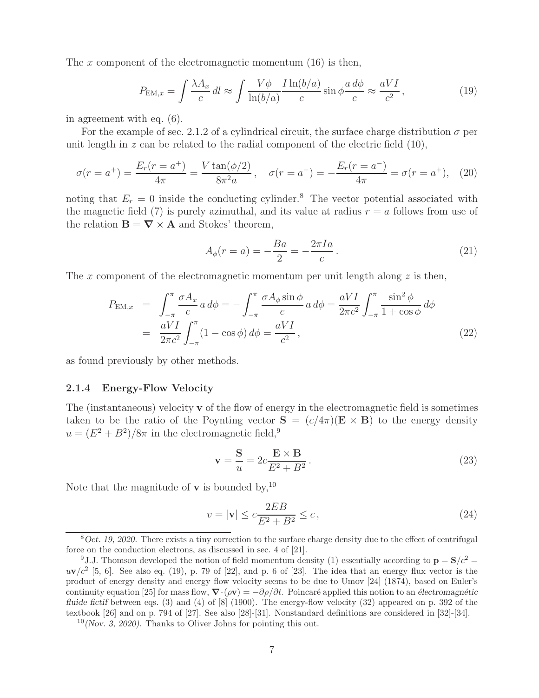The x component of the electromagnetic momentum  $(16)$  is then,

$$
P_{\text{EM},x} = \int \frac{\lambda A_x}{c} dl \approx \int \frac{V\phi}{\ln(b/a)} \frac{I\ln(b/a)}{c} \sin\phi \frac{a d\phi}{c} \approx \frac{aVI}{c^2},\tag{19}
$$

in agreement with eq. (6).

For the example of sec. 2.1.2 of a cylindrical circuit, the surface charge distribution  $\sigma$  per unit length in  $z$  can be related to the radial component of the electric field  $(10)$ ,

$$
\sigma(r = a^{+}) = \frac{E_r(r = a^{+})}{4\pi} = \frac{V \tan(\phi/2)}{8\pi^2 a}, \quad \sigma(r = a^{-}) = -\frac{E_r(r = a^{-})}{4\pi} = \sigma(r = a^{+}), \quad (20)
$$

noting that  $E_r = 0$  inside the conducting cylinder.<sup>8</sup> The vector potential associated with the magnetic field (7) is purely azimuthal, and its value at radius  $r = a$  follows from use of the relation  $\mathbf{B} = \nabla \times \mathbf{A}$  and Stokes' theorem,

$$
A_{\phi}(r=a) = -\frac{Ba}{2} = -\frac{2\pi Ia}{c}.
$$
\n(21)

The x component of the electromagnetic momentum per unit length along  $z$  is then,

$$
P_{\text{EM},x} = \int_{-\pi}^{\pi} \frac{\sigma A_x}{c} a \, d\phi = -\int_{-\pi}^{\pi} \frac{\sigma A_\phi \sin \phi}{c} a \, d\phi = \frac{aVI}{2\pi c^2} \int_{-\pi}^{\pi} \frac{\sin^2 \phi}{1 + \cos \phi} \, d\phi
$$

$$
= \frac{aVI}{2\pi c^2} \int_{-\pi}^{\pi} (1 - \cos \phi) \, d\phi = \frac{aVI}{c^2}, \tag{22}
$$

as found previously by other methods.

#### **2.1.4 Energy-Flow Velocity**

The (instantaneous) velocity **v** of the flow of energy in the electromagnetic field is sometimes taken to be the ratio of the Poynting vector  $S = (c/4\pi)(E \times B)$  to the energy density  $u = (E^2 + B^2)/8\pi$  in the electromagnetic field,<sup>9</sup>

$$
\mathbf{v} = \frac{\mathbf{S}}{u} = 2c \frac{\mathbf{E} \times \mathbf{B}}{E^2 + B^2}.
$$
 (23)

Note that the magnitude of **v** is bounded by,<sup>10</sup>

$$
v = |\mathbf{v}| \le c \frac{2EB}{E^2 + B^2} \le c,
$$
\n
$$
(24)
$$

<sup>8</sup>*Oct. 19, 2020.* There exists a tiny correction to the surface charge density due to the effect of centrifugal force on the conduction electrons, as discussed in sec. 4 of [21].

<sup>&</sup>lt;sup>9</sup>J.J. Thomson developed the notion of field momentum density (1) essentially according to  $\mathbf{p} = \mathbf{S}/c^2 =$  $uv/c^2$  [5, 6]. See also eq. (19), p. 79 of [22], and p. 6 of [23]. The idea that an energy flux vector is the product of energy density and energy flow velocity seems to be due to Umov [24] (1874), based on Euler's continuity equation [25] for mass flow,  $\nabla \cdot (\rho \mathbf{v}) = -\partial \rho / \partial t$ . Poincaré applied this notion to an *électromagnétic fluide fictif* between eqs. (3) and (4) of [8] (1900). The energy-flow velocity (32) appeared on p. 392 of the textbook [26] and on p. 794 of [27]. See also [28]-[31]. Nonstandard definitions are considered in [32]-[34].

<sup>10</sup>*(Nov. 3, 2020).* Thanks to Oliver Johns for pointing this out.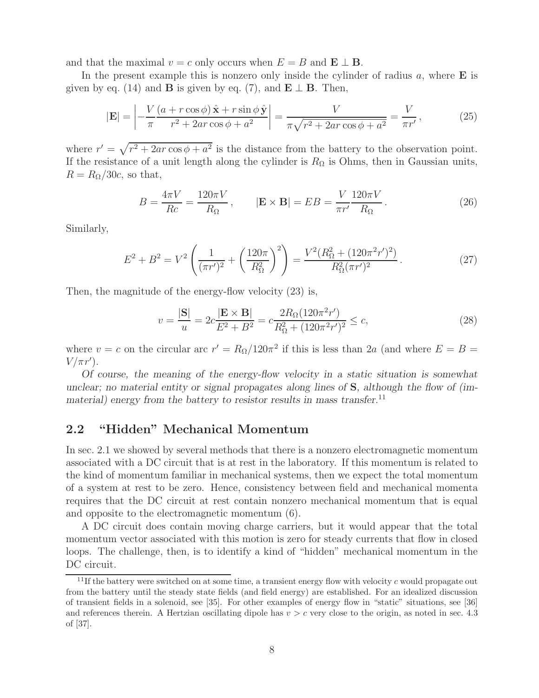and that the maximal  $v = c$  only occurs when  $E = B$  and  $\mathbf{E} \perp \mathbf{B}$ .

In the present example this is nonzero only inside the cylinder of radius a, where **E** is given by eq. (14) and **B** is given by eq. (7), and  $\mathbf{E} \perp \mathbf{B}$ . Then,

$$
|\mathbf{E}| = \left| -\frac{V}{\pi} \frac{\left(a + r \cos \phi\right) \hat{\mathbf{x}} + r \sin \phi \hat{\mathbf{y}}}{r^2 + 2ar \cos \phi + a^2} \right| = \frac{V}{\pi \sqrt{r^2 + 2ar \cos \phi + a^2}} = \frac{V}{\pi r'},\tag{25}
$$

where  $r' = \sqrt{r^2 + 2ar \cos \phi + a^2}$  is the distance from the battery to the observation point. If the resistance of a unit length along the cylinder is  $R_{\Omega}$  is Ohms, then in Gaussian units,  $R = R_{\Omega}/30c$ , so that,

$$
B = \frac{4\pi V}{Rc} = \frac{120\pi V}{R_{\Omega}}, \qquad |\mathbf{E} \times \mathbf{B}| = EB = \frac{V}{\pi r'} \frac{120\pi V}{R_{\Omega}}.
$$
 (26)

Similarly,

$$
E^2 + B^2 = V^2 \left( \frac{1}{(\pi r')^2} + \left( \frac{120\pi}{R_{\Omega}^2} \right)^2 \right) = \frac{V^2 (R_{\Omega}^2 + (120\pi^2 r')^2)}{R_{\Omega}^2 (\pi r')^2}.
$$
 (27)

Then, the magnitude of the energy-flow velocity (23) is,

$$
v = \frac{|\mathbf{S}|}{u} = 2c \frac{|\mathbf{E} \times \mathbf{B}|}{E^2 + B^2} = c \frac{2R_{\Omega}(120\pi^2 r')}{R_{\Omega}^2 + (120\pi^2 r')^2} \le c,
$$
\n(28)

where  $v = c$  on the circular arc  $r' = R<sub>\Omega</sub>/120\pi^2$  if this is less than 2a (and where  $E = B =$  $V/\pi r'$ ).

*Of course, the meaning of the energy-flow velocity in a static situation is somewhat unclear; no material entity or signal propagates along lines of* **S***, although the flow of (immaterial) energy from the battery to resistor results in mass transfer.*<sup>11</sup>

### **2.2 "Hidden" Mechanical Momentum**

In sec. 2.1 we showed by several methods that there is a nonzero electromagnetic momentum associated with a DC circuit that is at rest in the laboratory. If this momentum is related to the kind of momentum familiar in mechanical systems, then we expect the total momentum of a system at rest to be zero. Hence, consistency between field and mechanical momenta requires that the DC circuit at rest contain nonzero mechanical momentum that is equal and opposite to the electromagnetic momentum (6).

A DC circuit does contain moving charge carriers, but it would appear that the total momentum vector associated with this motion is zero for steady currents that flow in closed loops. The challenge, then, is to identify a kind of "hidden" mechanical momentum in the DC circuit.

 $11$ If the battery were switched on at some time, a transient energy flow with velocity c would propagate out from the battery until the steady state fields (and field energy) are established. For an idealized discussion of transient fields in a solenoid, see [35]. For other examples of energy flow in "static" situations, see [36] and references therein. A Hertzian oscillating dipole has  $v>c$  very close to the origin, as noted in sec. 4.3 of [37].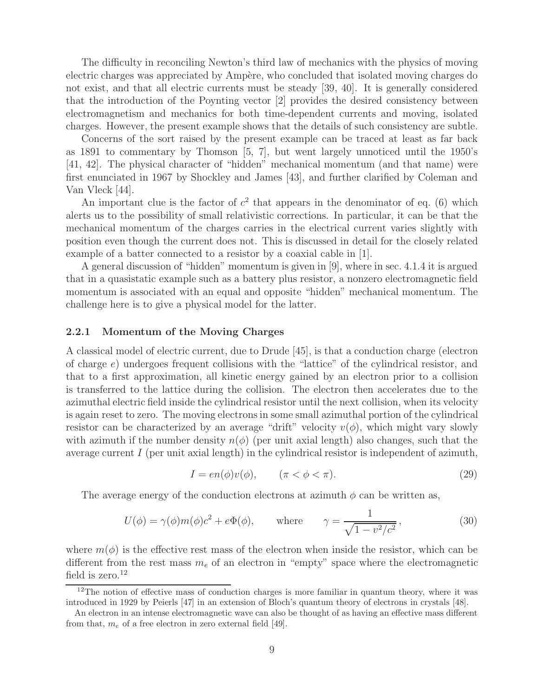The difficulty in reconciling Newton's third law of mechanics with the physics of moving electric charges was appreciated by Ampère, who concluded that isolated moving charges do not exist, and that all electric currents must be steady [39, 40]. It is generally considered that the introduction of the Poynting vector [2] provides the desired consistency between electromagnetism and mechanics for both time-dependent currents and moving, isolated charges. However, the present example shows that the details of such consistency are subtle.

Concerns of the sort raised by the present example can be traced at least as far back as 1891 to commentary by Thomson [5, 7], but went largely unnoticed until the 1950's [41, 42]. The physical character of "hidden" mechanical momentum (and that name) were first enunciated in 1967 by Shockley and James [43], and further clarified by Coleman and Van Vleck [44].

An important clue is the factor of  $c^2$  that appears in the denominator of eq. (6) which alerts us to the possibility of small relativistic corrections. In particular, it can be that the mechanical momentum of the charges carries in the electrical current varies slightly with position even though the current does not. This is discussed in detail for the closely related example of a batter connected to a resistor by a coaxial cable in [1].

A general discussion of "hidden" momentum is given in [9], where in sec. 4.1.4 it is argued that in a quasistatic example such as a battery plus resistor, a nonzero electromagnetic field momentum is associated with an equal and opposite "hidden" mechanical momentum. The challenge here is to give a physical model for the latter.

#### **2.2.1 Momentum of the Moving Charges**

A classical model of electric current, due to Drude [45], is that a conduction charge (electron of charge  $e$ ) undergoes frequent collisions with the "lattice" of the cylindrical resistor, and that to a first approximation, all kinetic energy gained by an electron prior to a collision is transferred to the lattice during the collision. The electron then accelerates due to the azimuthal electric field inside the cylindrical resistor until the next collision, when its velocity is again reset to zero. The moving electrons in some small azimuthal portion of the cylindrical resistor can be characterized by an average "drift" velocity  $v(\phi)$ , which might vary slowly with azimuth if the number density  $n(\phi)$  (per unit axial length) also changes, such that the average current I (per unit axial length) in the cylindrical resistor is independent of azimuth,

$$
I = en(\phi)v(\phi), \qquad (\pi < \phi < \pi). \tag{29}
$$

The average energy of the conduction electrons at azimuth  $\phi$  can be written as,

$$
U(\phi) = \gamma(\phi)m(\phi)c^2 + e\Phi(\phi), \quad \text{where} \quad \gamma = \frac{1}{\sqrt{1 - v^2/c^2}},
$$
 (30)

where  $m(\phi)$  is the effective rest mass of the electron when inside the resistor, which can be different from the rest mass  $m_e$  of an electron in "empty" space where the electromagnetic field is zero. $12$ 

 $12$ The notion of effective mass of conduction charges is more familiar in quantum theory, where it was introduced in 1929 by Peierls [47] in an extension of Bloch's quantum theory of electrons in crystals [48].

An electron in an intense electromagnetic wave can also be thought of as having an effective mass different from that,  $m_e$  of a free electron in zero external field [49].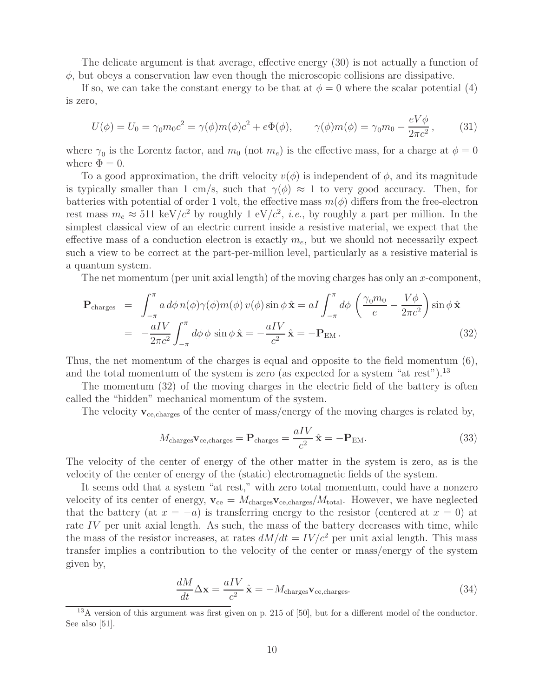The delicate argument is that average, effective energy (30) is not actually a function of  $\phi$ , but obeys a conservation law even though the microscopic collisions are dissipative.

If so, we can take the constant energy to be that at  $\phi = 0$  where the scalar potential (4) is zero,

$$
U(\phi) = U_0 = \gamma_0 m_0 c^2 = \gamma(\phi) m(\phi) c^2 + e\Phi(\phi), \qquad \gamma(\phi) m(\phi) = \gamma_0 m_0 - \frac{eV\phi}{2\pi c^2}, \qquad (31)
$$

where  $\gamma_0$  is the Lorentz factor, and  $m_0$  (not  $m_e$ ) is the effective mass, for a charge at  $\phi = 0$ where  $\Phi = 0$ .

To a good approximation, the drift velocity  $v(\phi)$  is independent of  $\phi$ , and its magnitude is typically smaller than 1 cm/s, such that  $\gamma(\phi) \approx 1$  to very good accuracy. Then, for batteries with potential of order 1 volt, the effective mass  $m(\phi)$  differs from the free-electron rest mass  $m_e \approx 511 \text{ keV}/c^2$  by roughly 1 eV/ $c^2$ , *i.e.*, by roughly a part per million. In the simplest classical view of an electric current inside a resistive material, we expect that the effective mass of a conduction electron is exactly  $m_e$ , but we should not necessarily expect such a view to be correct at the part-per-million level, particularly as a resistive material is a quantum system.

The net momentum (per unit axial length) of the moving charges has only an x-component,

$$
\mathbf{P}_{\text{charges}} = \int_{-\pi}^{\pi} a \, d\phi \, n(\phi) \gamma(\phi) m(\phi) \, v(\phi) \sin \phi \, \hat{\mathbf{x}} = aI \int_{-\pi}^{\pi} d\phi \, \left( \frac{\gamma_0 m_0}{e} - \frac{V \phi}{2\pi c^2} \right) \sin \phi \, \hat{\mathbf{x}} \n= -\frac{aIV}{2\pi c^2} \int_{-\pi}^{\pi} d\phi \, \phi \, \sin \phi \, \hat{\mathbf{x}} = -\frac{aIV}{c^2} \hat{\mathbf{x}} = -\mathbf{P}_{\text{EM}}.
$$
\n(32)

Thus, the net momentum of the charges is equal and opposite to the field momentum (6), and the total momentum of the system is zero (as expected for a system "at rest").<sup>13</sup>

The momentum (32) of the moving charges in the electric field of the battery is often called the "hidden" mechanical momentum of the system.

The velocity  $\mathbf{v}_{\text{ce,charges}}$  of the center of mass/energy of the moving charges is related by,

$$
M_{\text{charges}} \mathbf{v}_{\text{ce,charges}} = \mathbf{P}_{\text{charges}} = \frac{aIV}{c^2} \hat{\mathbf{x}} = -\mathbf{P}_{\text{EM}}.
$$
 (33)

The velocity of the center of energy of the other matter in the system is zero, as is the velocity of the center of energy of the (static) electromagnetic fields of the system.

It seems odd that a system "at rest," with zero total momentum, could have a nonzero velocity of its center of energy,  $\mathbf{v}_{ce} = M_{\text{charges}} \mathbf{v}_{ce, \text{charges}} / M_{\text{total}}$ . However, we have neglected that the battery (at  $x = -a$ ) is transferring energy to the resistor (centered at  $x = 0$ ) at rate IV per unit axial length. As such, the mass of the battery decreases with time, while the mass of the resistor increases, at rates  $dM/dt = IV/c^2$  per unit axial length. This mass transfer implies a contribution to the velocity of the center or mass/energy of the system given by,

$$
\frac{dM}{dt}\Delta \mathbf{x} = \frac{aIV}{c^2}\hat{\mathbf{x}} = -M_{\text{charges}}\mathbf{v}_{\text{ce,charges}}.
$$
\n(34)

<sup>13</sup>A version of this argument was first given on p. 215 of [50], but for a different model of the conductor. See also [51].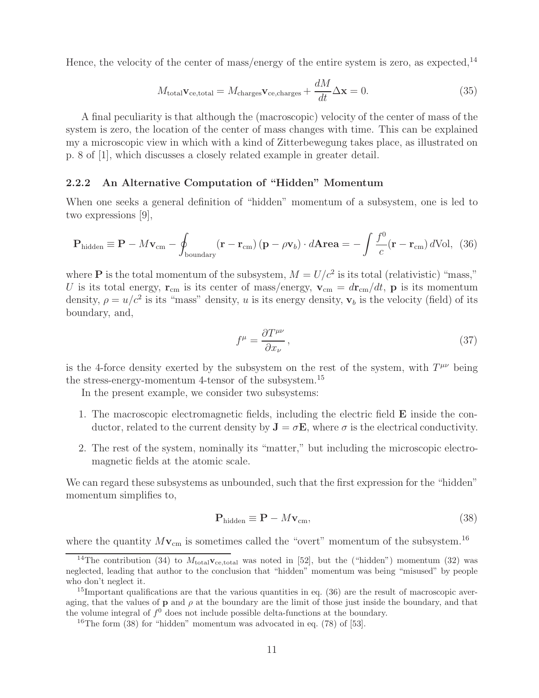Hence, the velocity of the center of mass/energy of the entire system is zero, as expected.<sup>14</sup>

$$
M_{\text{total}} \mathbf{v}_{\text{ce,total}} = M_{\text{charges}} \mathbf{v}_{\text{ce,charges}} + \frac{dM}{dt} \Delta \mathbf{x} = 0.
$$
 (35)

A final peculiarity is that although the (macroscopic) velocity of the center of mass of the system is zero, the location of the center of mass changes with time. This can be explained my a microscopic view in which with a kind of Zitterbewegung takes place, as illustrated on p. 8 of [1], which discusses a closely related example in greater detail.

#### **2.2.2 An Alternative Computation of "Hidden" Momentum**

When one seeks a general definition of "hidden" momentum of a subsystem, one is led to two expressions [9],

$$
\mathbf{P}_{\text{hidden}} \equiv \mathbf{P} - M\mathbf{v}_{\text{cm}} - \oint_{\text{boundary}} (\mathbf{r} - \mathbf{r}_{\text{cm}}) (\mathbf{p} - \rho \mathbf{v}_b) \cdot d\mathbf{A} \mathbf{r} \mathbf{e} \mathbf{a} = -\int \frac{f^0}{c} (\mathbf{r} - \mathbf{r}_{\text{cm}}) d\text{Vol}, \tag{36}
$$

where **P** is the total momentum of the subsystem,  $M = U/c^2$  is its total (relativistic) "mass," U is its total energy,  $\mathbf{r}_{cm}$  is its center of mass/energy,  $\mathbf{v}_{cm} = d\mathbf{r}_{cm}/dt$ , **p** is its momentum density,  $\rho = u/c^2$  is its "mass" density, u is its energy density,  $\mathbf{v}_b$  is the velocity (field) of its boundary, and,

$$
f^{\mu} = \frac{\partial T^{\mu\nu}}{\partial x_{\nu}},\tag{37}
$$

is the 4-force density exerted by the subsystem on the rest of the system, with  $T^{\mu\nu}$  being the stress-energy-momentum 4-tensor of the subsystem.<sup>15</sup>

In the present example, we consider two subsystems:

- 1. The macroscopic electromagnetic fields, including the electric field **E** inside the conductor, related to the current density by  $J = \sigma E$ , where  $\sigma$  is the electrical conductivity.
- 2. The rest of the system, nominally its "matter," but including the microscopic electromagnetic fields at the atomic scale.

We can regard these subsystems as unbounded, such that the first expression for the "hidden" momentum simplifies to,

$$
\mathbf{P}_{\text{hidden}} \equiv \mathbf{P} - M\mathbf{v}_{\text{cm}},\tag{38}
$$

where the quantity  $M_{\mathbf{V}_{cm}}$  is sometimes called the "overt" momentum of the subsystem.<sup>16</sup>

<sup>&</sup>lt;sup>14</sup>The contribution (34) to  $M_{\text{total}}v_{\text{c, total}}$  was noted in [52], but the ("hidden") momentum (32) was neglected, leading that author to the conclusion that "hidden" momentum was being "misused" by people who don't neglect it.

 $15$ Important qualifications are that the various quantities in eq. (36) are the result of macroscopic averaging, that the values of **p** and  $\rho$  at the boundary are the limit of those just inside the boundary, and that the volume integral of  $f^0$  does not include possible delta-functions at the boundary.

<sup>&</sup>lt;sup>16</sup>The form  $(38)$  for "hidden" momentum was advocated in eq.  $(78)$  of [53].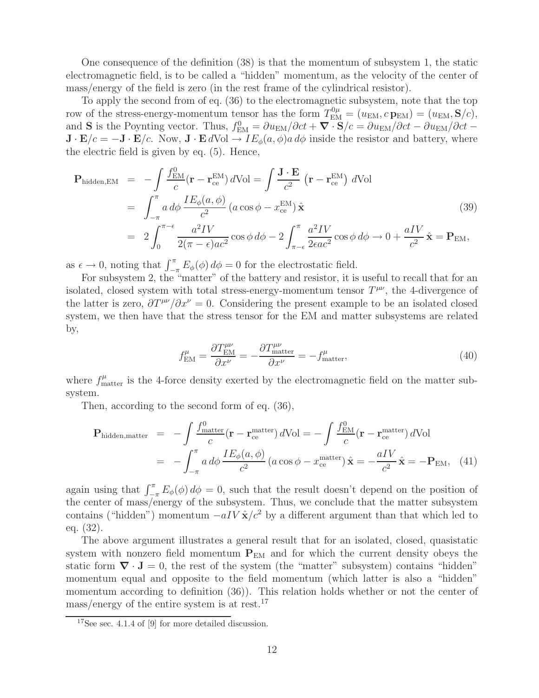One consequence of the definition (38) is that the momentum of subsystem 1, the static electromagnetic field, is to be called a "hidden" momentum, as the velocity of the center of mass/energy of the field is zero (in the rest frame of the cylindrical resistor).

To apply the second from of eq. (36) to the electromagnetic subsystem, note that the top row of the stress-energy-momentum tensor has the form  $T_{EM}^{0\mu} = (u_{EM}, c \mathbf{p}_{EM}) = (u_{EM}, \mathbf{S}/c),$ and **S** is the Poynting vector. Thus,  $f_{EM}^0 = \partial u_{EM}/\partial ct + \nabla \cdot \mathbf{S}/c = \partial u_{EM}/\partial ct - \partial u_{EM}/\partial ct - \nabla \cdot \mathbf{S}/c$  $\mathbf{J} \cdot \mathbf{E}/c = -\mathbf{J} \cdot \mathbf{E}/c$ . Now,  $\mathbf{J} \cdot \mathbf{E} dVol \to IE_{\phi}(a, \phi)a d\phi$  inside the resistor and battery, where the electric field is given by eq. (5). Hence,

$$
\mathbf{P}_{\text{hidden,EM}} = -\int \frac{f_{\text{EM}}^0}{c} (\mathbf{r} - \mathbf{r}_{\text{ce}}^{\text{EM}}) d\text{Vol} = \int \frac{\mathbf{J} \cdot \mathbf{E}}{c^2} (\mathbf{r} - \mathbf{r}_{\text{ce}}^{\text{EM}}) d\text{Vol}
$$
\n
$$
= \int_{-\pi}^{\pi} a \, d\phi \, \frac{I E_{\phi}(a, \phi)}{c^2} (a \cos \phi - x_{\text{ce}}^{\text{EM}}) \hat{\mathbf{x}} \tag{39}
$$
\n
$$
= 2 \int_{0}^{\pi - \epsilon} \frac{a^2 I V}{2(\pi - \epsilon) ac^2} \cos \phi \, d\phi - 2 \int_{\pi - \epsilon}^{\pi} \frac{a^2 I V}{2\epsilon ac^2} \cos \phi \, d\phi \rightarrow 0 + \frac{aI V}{c^2} \hat{\mathbf{x}} = \mathbf{P}_{\text{EM}},
$$

as  $\epsilon \to 0$ , noting that  $\int_{-\pi}^{\pi} E_{\phi}(\phi) d\phi = 0$  for the electrostatic field.

For subsystem 2, the "matter" of the battery and resistor, it is useful to recall that for an isolated, closed system with total stress-energy-momentum tensor  $T^{\mu\nu}$ , the 4-divergence of the latter is zero,  $\partial T^{\mu\nu}/\partial x^{\nu} = 0$ . Considering the present example to be an isolated closed system, we then have that the stress tensor for the EM and matter subsystems are related by,

$$
f_{\text{EM}}^{\mu} = \frac{\partial T_{\text{EM}}^{\mu\nu}}{\partial x^{\nu}} = -\frac{\partial T_{\text{matter}}^{\mu\nu}}{\partial x^{\nu}} = -f_{\text{matter}}^{\mu},\tag{40}
$$

where  $f_{\text{matter}}^{\mu}$  is the 4-force density exerted by the electromagnetic field on the matter subsystem.

Then, according to the second form of eq. (36),

$$
\mathbf{P}_{\text{hidden,matter}} = -\int \frac{f_{\text{matter}}^0}{c} (\mathbf{r} - \mathbf{r}_{\text{ce}}^{\text{matter}}) d\text{Vol} = -\int \frac{f_{\text{EM}}^0}{c} (\mathbf{r} - \mathbf{r}_{\text{ce}}^{\text{matter}}) d\text{Vol} \n= -\int_{-\pi}^{\pi} a d\phi \frac{I E_{\phi}(a, \phi)}{c^2} (a \cos \phi - x_{\text{ce}}^{\text{matter}}) \hat{\mathbf{x}} = -\frac{aIV}{c^2} \hat{\mathbf{x}} = -\mathbf{P}_{\text{EM}}, \quad (41)
$$

again using that  $\int_{-\pi}^{\pi} E_{\phi}(\phi) d\phi = 0$ , such that the result doesn't depend on the position of the center of mass/energy of the subsystem. Thus, we conclude that the matter subsystem contains ("hidden") momentum  $-aIV\hat{\mathbf{x}}/c^2$  by a different argument than that which led to eq. (32).

The above argument illustrates a general result that for an isolated, closed, quasistatic system with nonzero field momentum  $P_{EM}$  and for which the current density obeys the static form  $\nabla \cdot \mathbf{J} = 0$ , the rest of the system (the "matter" subsystem) contains "hidden" momentum equal and opposite to the field momentum (which latter is also a "hidden" momentum according to definition (36)). This relation holds whether or not the center of  $mass/energy$  of the entire system is at rest.<sup>17</sup>

<sup>&</sup>lt;sup>17</sup>See sec. 4.1.4 of [9] for more detailed discussion.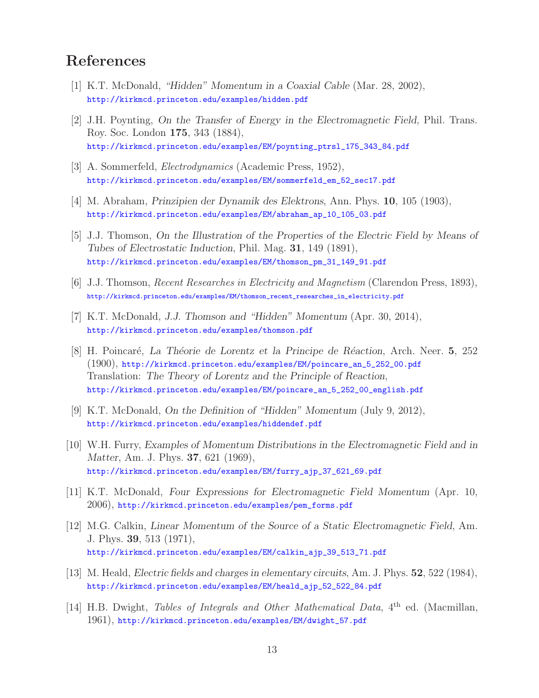# **References**

- [1] K.T. McDonald, *"Hidden" Momentum in a Coaxial Cable* (Mar. 28, 2002), http://kirkmcd.princeton.edu/examples/hidden.pdf
- [2] J.H. Poynting, *On the Transfer of Energy in the Electromagnetic Field*, Phil. Trans. Roy. Soc. London **175**, 343 (1884), http://kirkmcd.princeton.edu/examples/EM/poynting\_ptrsl\_175\_343\_84.pdf
- [3] A. Sommerfeld, *Electrodynamics* (Academic Press, 1952), http://kirkmcd.princeton.edu/examples/EM/sommerfeld\_em\_52\_sec17.pdf
- [4] M. Abraham, *Prinzipien der Dynamik des Elektrons*, Ann. Phys. **10**, 105 (1903), http://kirkmcd.princeton.edu/examples/EM/abraham\_ap\_10\_105\_03.pdf
- [5] J.J. Thomson, *On the Illustration of the Properties of the Electric Field by Means of Tubes of Electrostatic Induction*, Phil. Mag. **31**, 149 (1891), http://kirkmcd.princeton.edu/examples/EM/thomson\_pm\_31\_149\_91.pdf
- [6] J.J. Thomson, *Recent Researches in Electricity and Magnetism* (Clarendon Press, 1893), http://kirkmcd.princeton.edu/examples/EM/thomson\_recent\_researches\_in\_electricity.pdf
- [7] K.T. McDonald, *J.J. Thomson and "Hidden" Momentum* (Apr. 30, 2014), http://kirkmcd.princeton.edu/examples/thomson.pdf
- [8] H. Poincar´e, *La Th´eorie de Lorentz et la Principe de R´eaction*, Arch. Neer. **5**, 252 (1900), http://kirkmcd.princeton.edu/examples/EM/poincare\_an\_5\_252\_00.pdf Translation: *The Theory of Lorentz and the Principle of Reaction*, http://kirkmcd.princeton.edu/examples/EM/poincare\_an\_5\_252\_00\_english.pdf
- [9] K.T. McDonald, *On the Definition of "Hidden" Momentum* (July 9, 2012), http://kirkmcd.princeton.edu/examples/hiddendef.pdf
- [10] W.H. Furry, *Examples of Momentum Distributions in the Electromagnetic Field and in Matter*, Am. J. Phys. **37**, 621 (1969), http://kirkmcd.princeton.edu/examples/EM/furry\_ajp\_37\_621\_69.pdf
- [11] K.T. McDonald, *Four Expressions for Electromagnetic Field Momentum* (Apr. 10, 2006), http://kirkmcd.princeton.edu/examples/pem\_forms.pdf
- [12] M.G. Calkin, *Linear Momentum of the Source of a Static Electromagnetic Field*, Am. J. Phys. **39**, 513 (1971), http://kirkmcd.princeton.edu/examples/EM/calkin\_ajp\_39\_513\_71.pdf
- [13] M. Heald, *Electric fields and charges in elementary circuits*, Am. J. Phys. **52**, 522 (1984), http://kirkmcd.princeton.edu/examples/EM/heald\_ajp\_52\_522\_84.pdf
- [14] H.B. Dwight, *Tables of Integrals and Other Mathematical Data*, 4<sup>th</sup> ed. (Macmillan, 1961), http://kirkmcd.princeton.edu/examples/EM/dwight\_57.pdf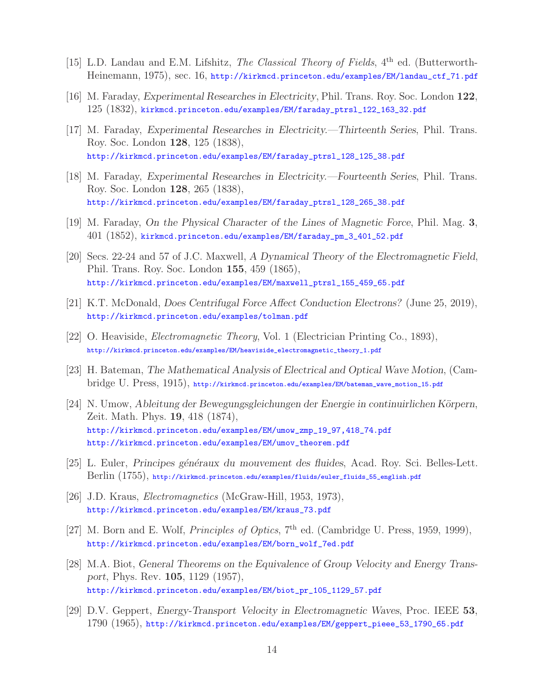- [15] L.D. Landau and E.M. Lifshitz, *The Classical Theory of Fields*, 4<sup>th</sup> ed. (Butterworth-Heinemann, 1975), sec. 16, http://kirkmcd.princeton.edu/examples/EM/landau\_ctf\_71.pdf
- [16] M. Faraday, *Experimental Researches in Electricity*, Phil. Trans. Roy. Soc. London **122**, 125 (1832), kirkmcd.princeton.edu/examples/EM/faraday\_ptrsl\_122\_163\_32.pdf
- [17] M. Faraday, *Experimental Researches in Electricity.—Thirteenth Series*, Phil. Trans. Roy. Soc. London **128**, 125 (1838), http://kirkmcd.princeton.edu/examples/EM/faraday\_ptrsl\_128\_125\_38.pdf
- [18] M. Faraday, *Experimental Researches in Electricity.—Fourteenth Series*, Phil. Trans. Roy. Soc. London **128**, 265 (1838), http://kirkmcd.princeton.edu/examples/EM/faraday\_ptrsl\_128\_265\_38.pdf
- [19] M. Faraday, *On the Physical Character of the Lines of Magnetic Force*, Phil. Mag. **3**, 401 (1852), kirkmcd.princeton.edu/examples/EM/faraday\_pm\_3\_401\_52.pdf
- [20] Secs. 22-24 and 57 of J.C. Maxwell, *A Dynamical Theory of the Electromagnetic Field*, Phil. Trans. Roy. Soc. London **155**, 459 (1865), http://kirkmcd.princeton.edu/examples/EM/maxwell\_ptrsl\_155\_459\_65.pdf
- [21] K.T. McDonald, *Does Centrifugal Force Affect Conduction Electrons?* (June 25, 2019), http://kirkmcd.princeton.edu/examples/tolman.pdf
- [22] O. Heaviside, *Electromagnetic Theory*, Vol. 1 (Electrician Printing Co., 1893), http://kirkmcd.princeton.edu/examples/EM/heaviside\_electromagnetic\_theory\_1.pdf
- [23] H. Bateman, *The Mathematical Analysis of Electrical and Optical Wave Motion*, (Cambridge U. Press, 1915), http://kirkmcd.princeton.edu/examples/EM/bateman\_wave\_motion\_15.pdf
- [24] N. Umow, *Ableitung der Bewegungsgleichungen der Energie in continuirlichen Körpern*, Zeit. Math. Phys. **19**, 418 (1874), http://kirkmcd.princeton.edu/examples/EM/umow\_zmp\_19\_97,418\_74.pdf http://kirkmcd.princeton.edu/examples/EM/umov\_theorem.pdf
- [25] L. Euler, *Principes g´en´eraux du mouvement des fluides*, Acad. Roy. Sci. Belles-Lett. Berlin (1755), http://kirkmcd.princeton.edu/examples/fluids/euler\_fluids\_55\_english.pdf
- [26] J.D. Kraus, *Electromagnetics* (McGraw-Hill, 1953, 1973), http://kirkmcd.princeton.edu/examples/EM/kraus\_73.pdf
- [27] M. Born and E. Wolf, *Principles of Optics*, 7<sup>th</sup> ed. (Cambridge U. Press, 1959, 1999), http://kirkmcd.princeton.edu/examples/EM/born\_wolf\_7ed.pdf
- [28] M.A. Biot, *General Theorems on the Equivalence of Group Velocity and Energy Transport*, Phys. Rev. **105**, 1129 (1957), http://kirkmcd.princeton.edu/examples/EM/biot\_pr\_105\_1129\_57.pdf
- [29] D.V. Geppert, *Energy-Transport Velocity in Electromagnetic Waves*, Proc. IEEE **53**, 1790 (1965), http://kirkmcd.princeton.edu/examples/EM/geppert\_pieee\_53\_1790\_65.pdf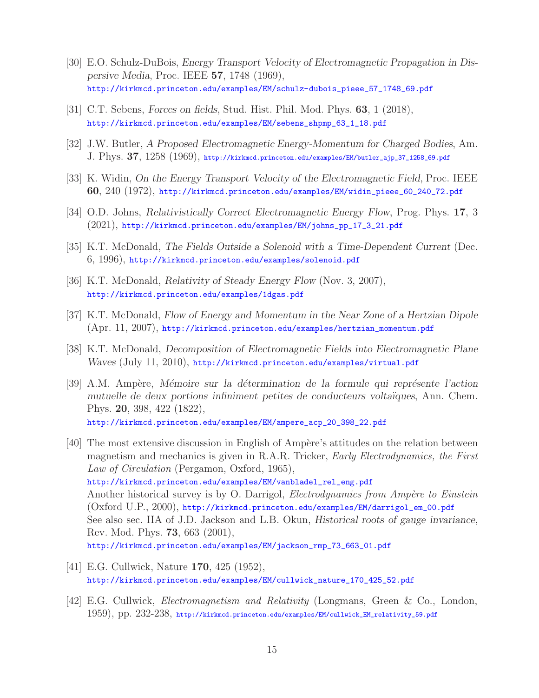- [30] E.O. Schulz-DuBois, *Energy Transport Velocity of Electromagnetic Propagation in Dispersive Media*, Proc. IEEE **57**, 1748 (1969), http://kirkmcd.princeton.edu/examples/EM/schulz-dubois\_pieee\_57\_1748\_69.pdf
- [31] C.T. Sebens, *Forces on fields*, Stud. Hist. Phil. Mod. Phys. **63**, 1 (2018), http://kirkmcd.princeton.edu/examples/EM/sebens\_shpmp\_63\_1\_18.pdf
- [32] J.W. Butler, *A Proposed Electromagnetic Energy-Momentum for Charged Bodies*, Am. J. Phys. **37**, 1258 (1969), http://kirkmcd.princeton.edu/examples/EM/butler\_ajp\_37\_1258\_69.pdf
- [33] K. Widin, *On the Energy Transport Velocity of the Electromagnetic Field*, Proc. IEEE **60**, 240 (1972), http://kirkmcd.princeton.edu/examples/EM/widin\_pieee\_60\_240\_72.pdf
- [34] O.D. Johns, *Relativistically Correct Electromagnetic Energy Flow*, Prog. Phys. **17**, 3 (2021), http://kirkmcd.princeton.edu/examples/EM/johns\_pp\_17\_3\_21.pdf
- [35] K.T. McDonald, *The Fields Outside a Solenoid with a Time-Dependent Current* (Dec. 6, 1996), http://kirkmcd.princeton.edu/examples/solenoid.pdf
- [36] K.T. McDonald, *Relativity of Steady Energy Flow* (Nov. 3, 2007), http://kirkmcd.princeton.edu/examples/1dgas.pdf
- [37] K.T. McDonald, *Flow of Energy and Momentum in the Near Zone of a Hertzian Dipole* (Apr. 11, 2007), http://kirkmcd.princeton.edu/examples/hertzian\_momentum.pdf
- [38] K.T. McDonald, *Decomposition of Electromagnetic Fields into Electromagnetic Plane Waves* (July 11, 2010), http://kirkmcd.princeton.edu/examples/virtual.pdf
- [39] A.M. Amp`ere, *M´emoire sur la d´etermination de la formule qui repr´esente l'action mutuelle de deux portions infiniment petites de conducteurs voltaïques*, Ann. Chem. Phys. **20**, 398, 422 (1822), http://kirkmcd.princeton.edu/examples/EM/ampere\_acp\_20\_398\_22.pdf
- [40] The most extensive discussion in English of Ampère's attitudes on the relation between magnetism and mechanics is given in R.A.R. Tricker, *Early Electrodynamics, the First Law of Circulation* (Pergamon, Oxford, 1965), http://kirkmcd.princeton.edu/examples/EM/vanbladel\_rel\_eng.pdf Another historical survey is by O. Darrigol, *Electrodynamics from Ampère to Einstein* (Oxford U.P., 2000), http://kirkmcd.princeton.edu/examples/EM/darrigol\_em\_00.pdf See also sec. IIA of J.D. Jackson and L.B. Okun, *Historical roots of gauge invariance*, Rev. Mod. Phys. **73**, 663 (2001), http://kirkmcd.princeton.edu/examples/EM/jackson\_rmp\_73\_663\_01.pdf
- [41] E.G. Cullwick, Nature **170**, 425 (1952), http://kirkmcd.princeton.edu/examples/EM/cullwick\_nature\_170\_425\_52.pdf
- [42] E.G. Cullwick, *Electromagnetism and Relativity* (Longmans, Green & Co., London, 1959), pp. 232-238, http://kirkmcd.princeton.edu/examples/EM/cullwick\_EM\_relativity\_59.pdf